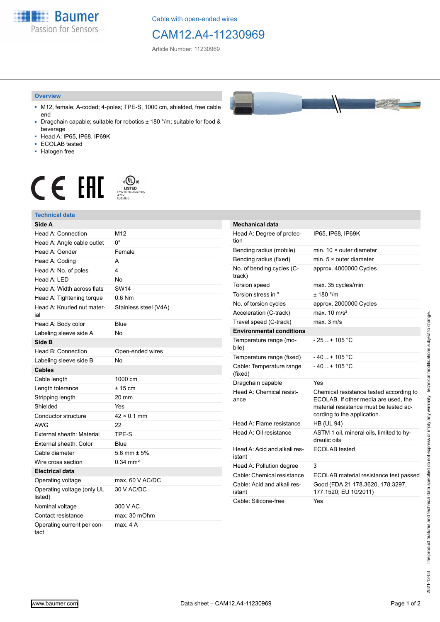**Baumer** Passion for Sensors

Cable with open-ended wires

## CAM12.A4-11230969

Article Number: 11230969

#### **Overview**

- M12, female, A-coded; 4-poles; TPE-S, 1000 cm, shielded, free cable end
- Dragchain capable; suitable for robotics ± 180 °/m; suitable for food & beverage
- Head A: IP65, IP68, IP69K
- ECOLAB tested
- Halogen free

# $\displaystyle \bigoplus_{\substack{\text{CVD}\\\text{CVD Cable Assen}\ \text{47YY}\\\text{6315836}}} \mathsf{US}$ CE EAL

### **Technical data**

| Side A                                |                       |
|---------------------------------------|-----------------------|
| Head A: Connection                    | M <sub>12</sub>       |
| Head A: Angle cable outlet            | 0°                    |
| Head A: Gender                        | Female                |
| Head A: Coding                        | А                     |
| Head A: No. of poles                  | 4                     |
| Head A: LED                           | No                    |
| Head A: Width across flats            | <b>SW14</b>           |
| Head A: Tightening torque             | $0.6$ Nm              |
| Head A: Knurled nut mater-<br>ial     | Stainless steel (V4A) |
| Head A: Body color                    | Blue                  |
| Labeling sleeve side A                | No                    |
| Side B                                |                       |
| Head B: Connection                    | Open-ended wires      |
| Labeling sleeve side B                | No                    |
| <b>Cables</b>                         |                       |
| Cable length                          | 1000 cm               |
| Length tolerance                      | $± 15$ cm             |
| Stripping length                      | 20 mm                 |
| Shielded                              | Yes                   |
| Conductor structure                   | $42 \times 0.1$ mm    |
| <b>AWG</b>                            | 22                    |
| <b>External sheath: Material</b>      | TPE-S                 |
| External sheath: Color                | Blue                  |
| Cable diameter                        | 5.6 mm $\pm$ 5%       |
| Wire cross section                    | $0.34 \text{ mm}^2$   |
| <b>Electrical data</b>                |                       |
| Operating voltage                     | max. 60 V AC/DC       |
| Operating voltage (only UL<br>listed) | 30 V AC/DC            |
| Nominal voltage                       | 300 V AC              |
| Contact resistance                    | max. 30 mOhm          |
| Operating current per con-<br>tact    | max. 4 A              |



| <b>Mechanical data</b>                 |                                                                                                                                                          |
|----------------------------------------|----------------------------------------------------------------------------------------------------------------------------------------------------------|
| Head A: Degree of protec-<br>tion      | IP65, IP68, IP69K                                                                                                                                        |
| Bending radius (mobile)                | min. $10 \times$ outer diameter                                                                                                                          |
| Bending radius (fixed)                 | min. $5 \times$ outer diameter                                                                                                                           |
| No. of bending cycles (C-<br>track)    | approx. 4000000 Cycles                                                                                                                                   |
| <b>Torsion speed</b>                   | max. 35 cycles/min                                                                                                                                       |
| Torsion stress in °                    | ± 180 °/m                                                                                                                                                |
| No. of torsion cycles                  | approx. 2000000 Cycles                                                                                                                                   |
| Acceleration (C-track)                 | max. $10 \text{ m/s}^2$                                                                                                                                  |
| Travel speed (C-track)                 | max. 3 m/s                                                                                                                                               |
| <b>Environmental conditions</b>        |                                                                                                                                                          |
| Temperature range (mo-<br>bile)        | $-25$ + 105 °C                                                                                                                                           |
| Temperature range (fixed)              | - 40 + 105 °C                                                                                                                                            |
| Cable: Temperature range<br>(fixed)    | $-40$ + 105 °C                                                                                                                                           |
| Dragchain capable                      | Yes                                                                                                                                                      |
| Head A: Chemical resist-<br>ance       | Chemical resistance tested according to<br>ECOLAB. If other media are used, the<br>material resistance must be tested ac-<br>cording to the application. |
| Head A: Flame resistance               | <b>HB (UL 94)</b>                                                                                                                                        |
| Head A: Oil resistance                 | ASTM 1 oil, mineral oils, limited to hy-<br>draulic oils                                                                                                 |
| Head A: Acid and alkali res-<br>istant | <b>ECOLAB</b> tested                                                                                                                                     |
| Head A: Pollution degree               | 3                                                                                                                                                        |
| Cable: Chemical resistance             | ECOLAB material resistance test passed                                                                                                                   |
| Cable: Acid and alkali res-<br>istant  | Good (FDA 21 178.3620, 178.3297,<br>177.1520; EU 10/2011)                                                                                                |
| Cable: Silicone-free                   | Yes                                                                                                                                                      |